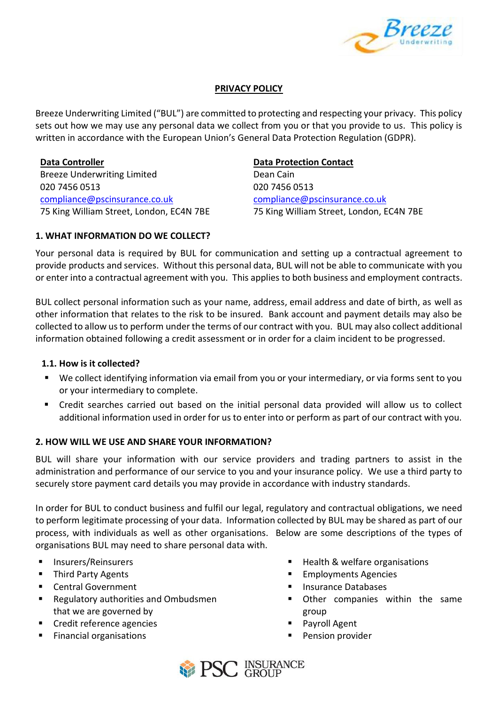

## **PRIVACY POLICY**

Breeze Underwriting Limited ("BUL") are committed to protecting and respecting your privacy. This policy sets out how we may use any personal data we collect from you or that you provide to us. This policy is written in accordance with the European Union's General Data Protection Regulation (GDPR).

**Data Controller Data Protection Contact** Breeze Underwriting Limited Dean Cain 020 7456 0513 020 7456 0513 [compliance@pscinsurance.co.uk](mailto:compliance@pscinsurance.co.uk) [compliance@pscinsurance.co.uk](mailto:compliance@pscinsurance.co.uk)

75 King William Street, London, EC4N 7BE 75 King William Street, London, EC4N 7BE

## **1. WHAT INFORMATION DO WE COLLECT?**

Your personal data is required by BUL for communication and setting up a contractual agreement to provide products and services. Without this personal data, BUL will not be able to communicate with you or enter into a contractual agreement with you. This applies to both business and employment contracts.

BUL collect personal information such as your name, address, email address and date of birth, as well as other information that relates to the risk to be insured. Bank account and payment details may also be collected to allow us to perform under the terms of our contract with you. BUL may also collect additional information obtained following a credit assessment or in order for a claim incident to be progressed.

## **1.1. How is it collected?**

- We collect identifying information via email from you or your intermediary, or via forms sent to you or your intermediary to complete.
- Credit searches carried out based on the initial personal data provided will allow us to collect additional information used in order for us to enter into or perform as part of our contract with you.

# **2. HOW WILL WE USE AND SHARE YOUR INFORMATION?**

BUL will share your information with our service providers and trading partners to assist in the administration and performance of our service to you and your insurance policy. We use a third party to securely store payment card details you may provide in accordance with industry standards.

In order for BUL to conduct business and fulfil our legal, regulatory and contractual obligations, we need to perform legitimate processing of your data. Information collected by BUL may be shared as part of our process, with individuals as well as other organisations. Below are some descriptions of the types of organisations BUL may need to share personal data with.

- Insurers/Reinsurers
- **Third Party Agents**
- Central Government
- Regulatory authorities and Ombudsmen that we are governed by
- Credit reference agencies
- **Financial organisations**
- Health & welfare organisations
- **Employments Agencies**
- Insurance Databases
- **•** Other companies within the same group
- Payroll Agent
- Pension provider